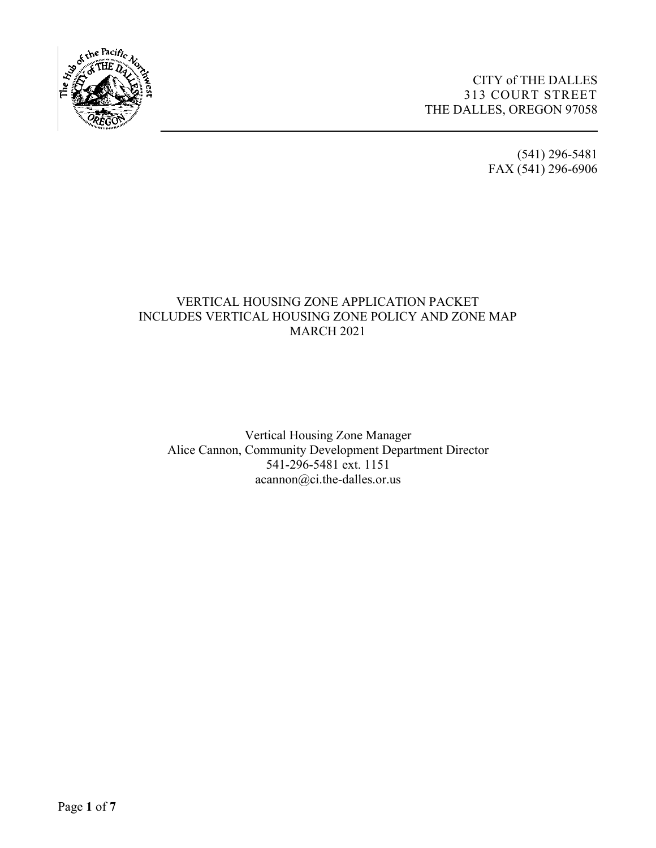

(541) 296-5481 FAX (541) 296-6906

## VERTICAL HOUSING ZONE APPLICATION PACKET INCLUDES VERTICAL HOUSING ZONE POLICY AND ZONE MAP MARCH 2021

**\_\_\_\_\_\_\_\_\_\_\_\_\_\_\_\_\_\_\_\_\_\_\_\_\_\_\_\_\_\_\_\_\_\_\_\_\_\_\_\_\_\_\_\_\_\_\_\_\_\_\_\_\_\_\_\_\_\_\_\_\_\_\_\_\_\_\_\_** 

Vertical Housing Zone Manager Alice Cannon, Community Development Department Director 541-296-5481 ext. 1151 acannon@ci.the-dalles.or.us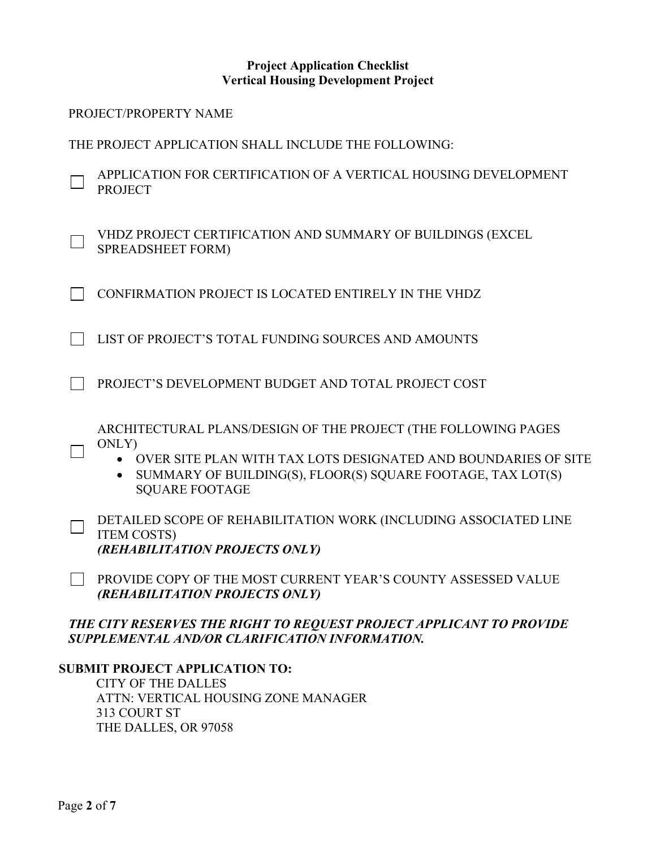#### **Project Application Checklist Vertical Housing Development Project**

| PROJECT/PROPERTY NAME                                                                                                                                                                                                                          |
|------------------------------------------------------------------------------------------------------------------------------------------------------------------------------------------------------------------------------------------------|
| THE PROJECT APPLICATION SHALL INCLUDE THE FOLLOWING:                                                                                                                                                                                           |
| APPLICATION FOR CERTIFICATION OF A VERTICAL HOUSING DEVELOPMENT<br><b>PROJECT</b>                                                                                                                                                              |
| VHDZ PROJECT CERTIFICATION AND SUMMARY OF BUILDINGS (EXCEL<br><b>SPREADSHEET FORM)</b>                                                                                                                                                         |
| CONFIRMATION PROJECT IS LOCATED ENTIRELY IN THE VHDZ                                                                                                                                                                                           |
| LIST OF PROJECT'S TOTAL FUNDING SOURCES AND AMOUNTS                                                                                                                                                                                            |
| PROJECT'S DEVELOPMENT BUDGET AND TOTAL PROJECT COST                                                                                                                                                                                            |
| ARCHITECTURAL PLANS/DESIGN OF THE PROJECT (THE FOLLOWING PAGES<br>ONLY)<br>OVER SITE PLAN WITH TAX LOTS DESIGNATED AND BOUNDARIES OF SITE<br>SUMMARY OF BUILDING(S), FLOOR(S) SQUARE FOOTAGE, TAX LOT(S)<br>$\bullet$<br><b>SQUARE FOOTAGE</b> |
| DETAILED SCOPE OF REHABILITATION WORK (INCLUDING ASSOCIATED LINE<br><b>ITEM COSTS)</b><br>(REHABILITATION PROJECTS ONLY)                                                                                                                       |
| PROVIDE COPY OF THE MOST CURRENT YEAR'S COUNTY ASSESSED VALUE<br>(REHABILITATION PROJECTS ONLY)                                                                                                                                                |
| THE CITY RESERVES THE RIGHT TO REQUEST PROJECT APPLICANT TO PROVIDE<br>SUPPLEMENTAL AND/OR CLARIFICATION INFORMATION.<br><b>SUBMIT PROJECT APPLICATION TO:</b>                                                                                 |

CITY OF THE DALLES ATTN: VERTICAL HOUSING ZONE MANAGER 313 COURT ST THE DALLES, OR 97058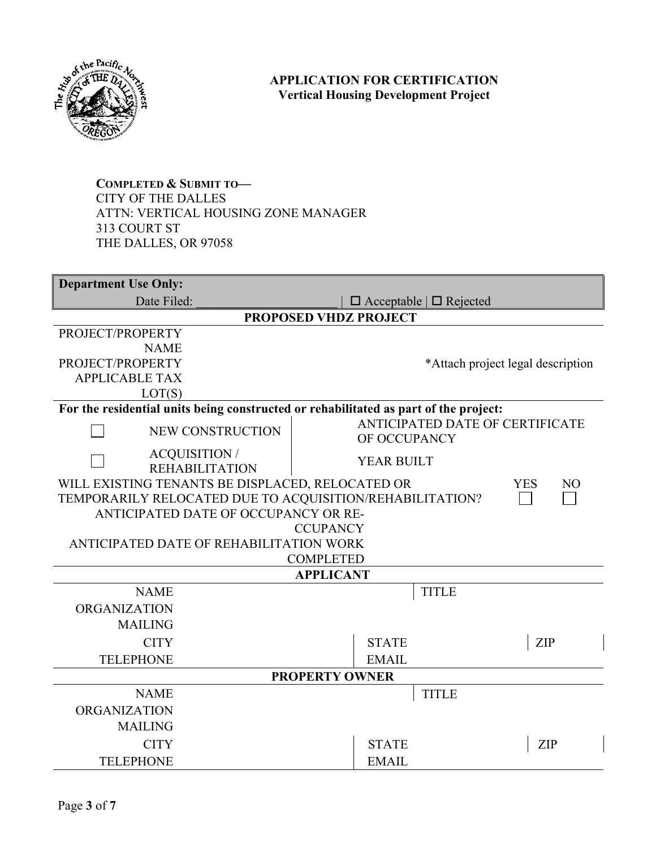

## **APPLICATION FOR CERTIFICATION Vertical Housing Development Project**

**COMPLETED & SUBMIT TO—** CITY OF THE DALLES ATTN: VERTICAL HOUSING ZONE MANAGER 313 COURT ST THE DALLES, OR 97058

| <b>Department Use Only:</b>                                                          |                                   |                                 |  |  |  |
|--------------------------------------------------------------------------------------|-----------------------------------|---------------------------------|--|--|--|
| Date Filed:                                                                          | $\Box$ Acceptable $\Box$ Rejected |                                 |  |  |  |
| <b>PROPOSED VHDZ PROJECT</b>                                                         |                                   |                                 |  |  |  |
| PROJECT/PROPERTY                                                                     |                                   |                                 |  |  |  |
| <b>NAME</b>                                                                          |                                   |                                 |  |  |  |
| PROJECT/PROPERTY                                                                     | *Attach project legal description |                                 |  |  |  |
| <b>APPLICABLE TAX</b>                                                                |                                   |                                 |  |  |  |
| LOT(S)                                                                               |                                   |                                 |  |  |  |
| For the residential units being constructed or rehabilitated as part of the project: |                                   |                                 |  |  |  |
| NEW CONSTRUCTION                                                                     | OF OCCUPANCY                      | ANTICIPATED DATE OF CERTIFICATE |  |  |  |
| <b>ACQUISITION /</b><br><b>REHABILITATION</b>                                        | <b>YEAR BUILT</b>                 |                                 |  |  |  |
| WILL EXISTING TENANTS BE DISPLACED, RELOCATED OR                                     |                                   | <b>YES</b><br>N <sub>O</sub>    |  |  |  |
| TEMPORARILY RELOCATED DUE TO ACQUISITION/REHABILITATION?                             |                                   |                                 |  |  |  |
| ANTICIPATED DATE OF OCCUPANCY OR RE-                                                 |                                   |                                 |  |  |  |
|                                                                                      | <b>CCUPANCY</b>                   |                                 |  |  |  |
| ANTICIPATED DATE OF REHABILITATION WORK                                              | <b>COMPLETED</b>                  |                                 |  |  |  |
|                                                                                      | <b>APPLICANT</b>                  |                                 |  |  |  |
| <b>NAME</b>                                                                          | <b>TITLE</b>                      |                                 |  |  |  |
| <b>ORGANIZATION</b>                                                                  |                                   |                                 |  |  |  |
| <b>MAILING</b>                                                                       |                                   |                                 |  |  |  |
| <b>CITY</b>                                                                          | <b>STATE</b>                      |                                 |  |  |  |
|                                                                                      |                                   | ZIP                             |  |  |  |
| <b>TELEPHONE</b>                                                                     | <b>EMAIL</b>                      |                                 |  |  |  |
| <b>PROPERTY OWNER</b>                                                                |                                   |                                 |  |  |  |
| <b>NAME</b>                                                                          | <b>TITLE</b>                      |                                 |  |  |  |
| <b>ORGANIZATION</b>                                                                  |                                   |                                 |  |  |  |
| <b>MAILING</b>                                                                       |                                   |                                 |  |  |  |
| <b>CITY</b>                                                                          | <b>STATE</b>                      | ZIP                             |  |  |  |
| <b>TELEPHONE</b>                                                                     | <b>EMAIL</b>                      |                                 |  |  |  |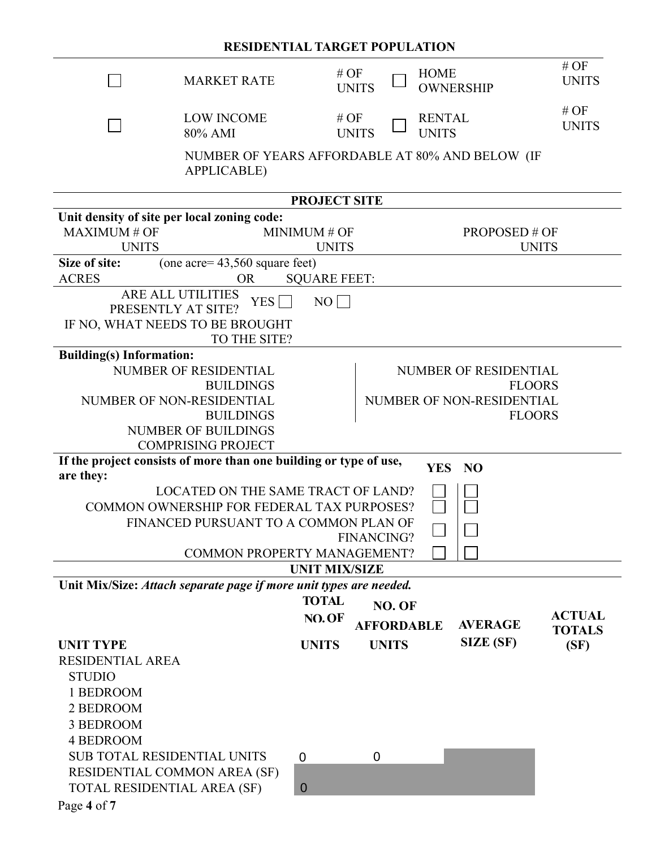# **RESIDENTIAL TARGET POPULATION**

| <b>MARKET RATE</b>                                                             |                           | # OF           |                      | <b>HOME</b>       |                       | #OF<br><b>UNITS</b> |
|--------------------------------------------------------------------------------|---------------------------|----------------|----------------------|-------------------|-----------------------|---------------------|
|                                                                                |                           | <b>UNITS</b>   |                      |                   | <b>OWNERSHIP</b>      |                     |
| <b>LOW INCOME</b>                                                              |                           | #OF            |                      | <b>RENTAL</b>     |                       | $#$ OF              |
| 80% AMI                                                                        |                           | <b>UNITS</b>   |                      | <b>UNITS</b>      |                       | <b>UNITS</b>        |
| NUMBER OF YEARS AFFORDABLE AT 80% AND BELOW (IF                                |                           |                |                      |                   |                       |                     |
| <b>APPLICABLE)</b>                                                             |                           |                |                      |                   |                       |                     |
|                                                                                | <b>PROJECT SITE</b>       |                |                      |                   |                       |                     |
| Unit density of site per local zoning code:                                    |                           |                |                      |                   |                       |                     |
| <b>MAXIMUM# OF</b>                                                             | MINIMUM # OF              |                | <b>PROPOSED # OF</b> |                   |                       |                     |
| <b>UNITS</b>                                                                   | <b>UNITS</b>              |                |                      |                   |                       | <b>UNITS</b>        |
| (one acre= $43,560$ square feet)<br>Size of site:                              |                           |                |                      |                   |                       |                     |
| <b>ACRES</b><br><b>OR</b>                                                      | <b>SQUARE FEET:</b>       |                |                      |                   |                       |                     |
| <b>ARE ALL UTILITIES</b><br>YES $\Box$                                         | NO                        |                |                      |                   |                       |                     |
| PRESENTLY AT SITE?<br>IF NO, WHAT NEEDS TO BE BROUGHT                          |                           |                |                      |                   |                       |                     |
| TO THE SITE?                                                                   |                           |                |                      |                   |                       |                     |
| <b>Building(s)</b> Information:                                                |                           |                |                      |                   |                       |                     |
| NUMBER OF RESIDENTIAL                                                          |                           |                |                      |                   | NUMBER OF RESIDENTIAL |                     |
| <b>BUILDINGS</b>                                                               | <b>FLOORS</b>             |                |                      |                   |                       |                     |
| NUMBER OF NON-RESIDENTIAL                                                      | NUMBER OF NON-RESIDENTIAL |                |                      |                   |                       |                     |
| <b>BUILDINGS</b>                                                               |                           |                |                      |                   | <b>FLOORS</b>         |                     |
| <b>NUMBER OF BUILDINGS</b>                                                     |                           |                |                      |                   |                       |                     |
| <b>COMPRISING PROJECT</b>                                                      |                           |                |                      |                   |                       |                     |
| If the project consists of more than one building or type of use,<br>are they: |                           |                |                      |                   | YES NO                |                     |
| LOCATED ON THE SAME TRACT OF LAND?                                             |                           |                |                      |                   |                       |                     |
| COMMON OWNERSHIP FOR FEDERAL TAX PURPOSES?                                     |                           |                |                      |                   |                       |                     |
| FINANCED PURSUANT TO A COMMON PLAN OF                                          |                           |                |                      |                   |                       |                     |
| <b>FINANCING?</b>                                                              |                           |                |                      |                   |                       |                     |
| COMMON PROPERTY MANAGEMENT?                                                    |                           |                |                      |                   |                       |                     |
|                                                                                | <b>UNIT MIX/SIZE</b>      |                |                      |                   |                       |                     |
| Unit Mix/Size: Attach separate page if more unit types are needed.             |                           |                |                      |                   |                       |                     |
|                                                                                | <b>TOTAL</b>              |                | NO. OF               |                   |                       |                     |
|                                                                                | NO.OF                     |                |                      | <b>AFFORDABLE</b> | <b>AVERAGE</b>        | <b>ACTUAL</b>       |
|                                                                                |                           |                |                      |                   | <b>SIZE (SF)</b>      | <b>TOTALS</b>       |
| <b>UNIT TYPE</b>                                                               | <b>UNITS</b>              |                | <b>UNITS</b>         |                   |                       | (SF)                |
| <b>RESIDENTIAL AREA</b><br><b>STUDIO</b>                                       |                           |                |                      |                   |                       |                     |
| 1 BEDROOM                                                                      |                           |                |                      |                   |                       |                     |
| 2 BEDROOM                                                                      |                           |                |                      |                   |                       |                     |
| 3 BEDROOM                                                                      |                           |                |                      |                   |                       |                     |
| <b>4 BEDROOM</b>                                                               |                           |                |                      |                   |                       |                     |
| <b>SUB TOTAL RESIDENTIAL UNITS</b>                                             | $\mathbf 0$               | $\overline{0}$ |                      |                   |                       |                     |
| RESIDENTIAL COMMON AREA (SF)                                                   |                           |                |                      |                   |                       |                     |
| TOTAL RESIDENTIAL AREA (SF)                                                    | $\mathbf{0}$              |                |                      |                   |                       |                     |
|                                                                                |                           |                |                      |                   |                       |                     |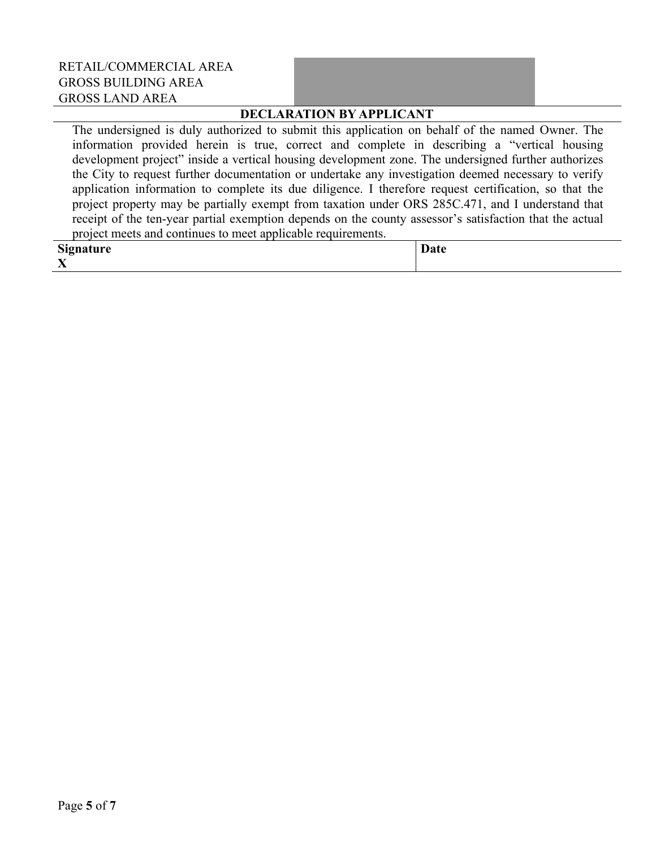| RETAIL/COMMERCIAL AREA     |  |
|----------------------------|--|
| <b>GROSS BUILDING AREA</b> |  |
| GROSS LAND AREA            |  |

#### **DECLARATION BY APPLICANT**

The undersigned is duly authorized to submit this application on behalf of the named Owner. The information provided herein is true, correct and complete in describing a "vertical housing development project" inside a vertical housing development zone. The undersigned further authorizes the City to request further documentation or undertake any investigation deemed necessary to verify application information to complete its due diligence. I therefore request certification, so that the project property may be partially exempt from taxation under ORS 285C.471, and I understand that receipt of the ten-year partial exemption depends on the county assessor's satisfaction that the actual project meets and continues to meet applicable requirements.

| Signature                 | Date |
|---------------------------|------|
| $\mathbf{v}$<br>$\Lambda$ |      |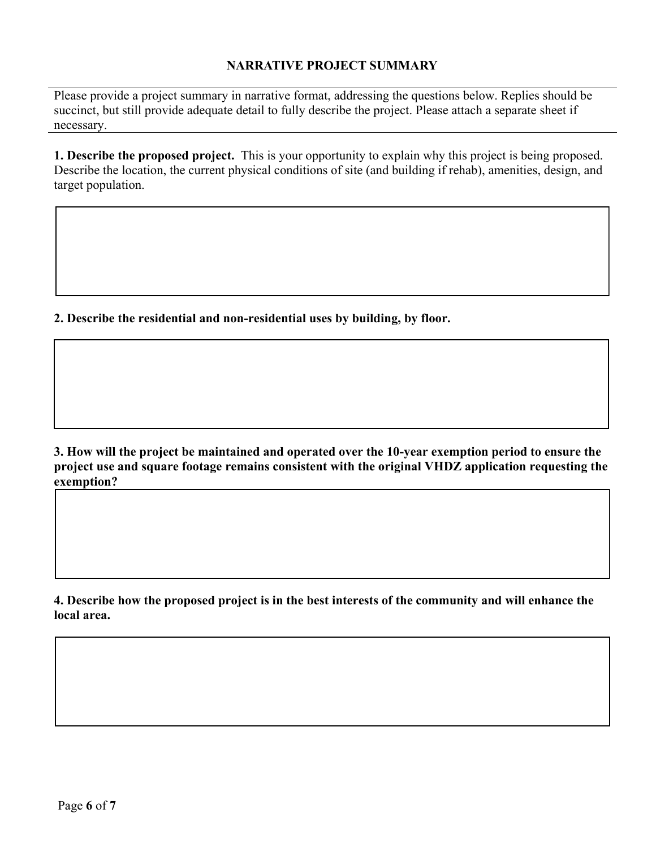#### **NARRATIVE PROJECT SUMMARY**

Please provide a project summary in narrative format, addressing the questions below. Replies should be succinct, but still provide adequate detail to fully describe the project. Please attach a separate sheet if necessary.

**1. Describe the proposed project.** This is your opportunity to explain why this project is being proposed. Describe the location, the current physical conditions of site (and building if rehab), amenities, design, and target population.

**2. Describe the residential and non-residential uses by building, by floor.**

**3. How will the project be maintained and operated over the 10-year exemption period to ensure the project use and square footage remains consistent with the original VHDZ application requesting the exemption?**

**4. Describe how the proposed project is in the best interests of the community and will enhance the local area.**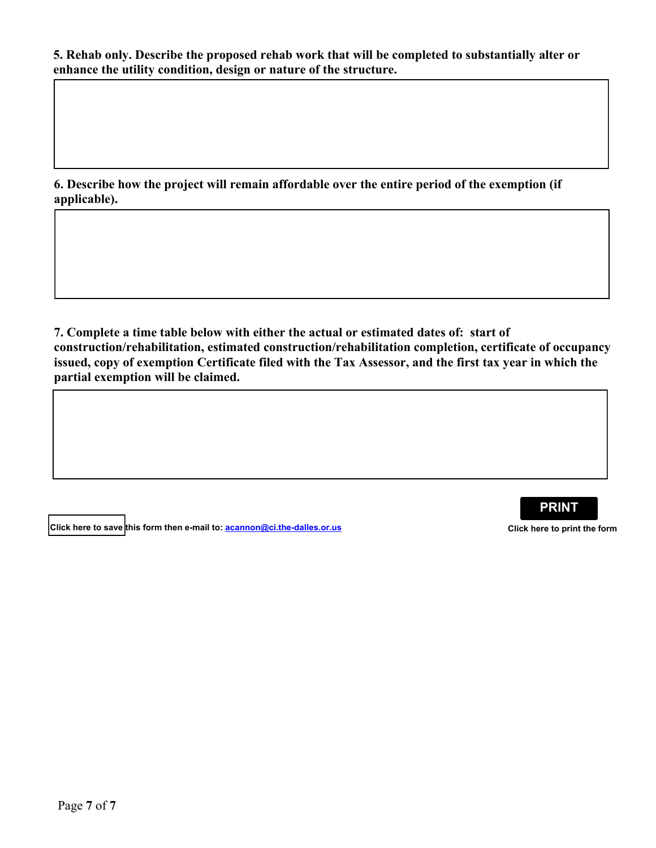**5. Rehab only. Describe the proposed rehab work that will be completed to substantially alter or enhance the utility condition, design or nature of the structure.**

**6. Describe how the project will remain affordable over the entire period of the exemption (if applicable).**

**7. Complete a time table below with either the actual or estimated dates of: start of construction/rehabilitation, estimated construction/rehabilitation completion, certificate of occupancy issued, copy of exemption Certificate filed with the Tax Assessor, and the first tax year in which the partial exemption will be claimed.**

**Click here to save** this form then e-mail to: <u>acannon@ci.the-dalles.or.us</u><br>Click here to print the form

**PRINT**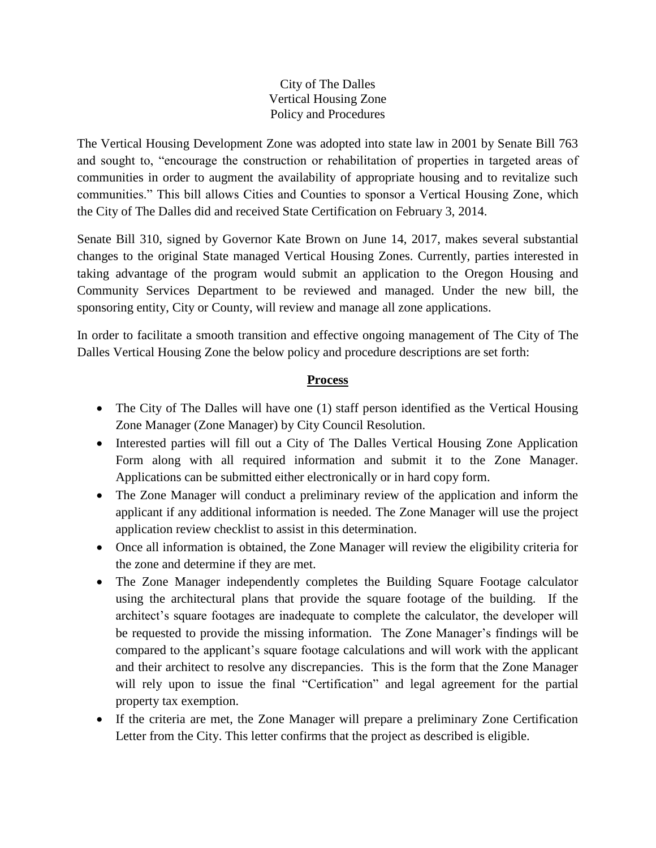#### City of The Dalles Vertical Housing Zone Policy and Procedures

The Vertical Housing Development Zone was adopted into state law in 2001 by Senate Bill 763 and sought to, "encourage the construction or rehabilitation of properties in targeted areas of communities in order to augment the availability of appropriate housing and to revitalize such communities." This bill allows Cities and Counties to sponsor a Vertical Housing Zone, which the City of The Dalles did and received State Certification on February 3, 2014.

Senate Bill 310, signed by Governor Kate Brown on June 14, 2017, makes several substantial changes to the original State managed Vertical Housing Zones. Currently, parties interested in taking advantage of the program would submit an application to the Oregon Housing and Community Services Department to be reviewed and managed. Under the new bill, the sponsoring entity, City or County, will review and manage all zone applications.

In order to facilitate a smooth transition and effective ongoing management of The City of The Dalles Vertical Housing Zone the below policy and procedure descriptions are set forth:

## **Process**

- The City of The Dalles will have one (1) staff person identified as the Vertical Housing Zone Manager (Zone Manager) by City Council Resolution.
- Interested parties will fill out a City of The Dalles Vertical Housing Zone Application Form along with all required information and submit it to the Zone Manager. Applications can be submitted either electronically or in hard copy form.
- The Zone Manager will conduct a preliminary review of the application and inform the applicant if any additional information is needed. The Zone Manager will use the project application review checklist to assist in this determination.
- Once all information is obtained, the Zone Manager will review the eligibility criteria for the zone and determine if they are met.
- The Zone Manager independently completes the Building Square Footage calculator using the architectural plans that provide the square footage of the building. If the architect's square footages are inadequate to complete the calculator, the developer will be requested to provide the missing information. The Zone Manager's findings will be compared to the applicant's square footage calculations and will work with the applicant and their architect to resolve any discrepancies. This is the form that the Zone Manager will rely upon to issue the final "Certification" and legal agreement for the partial property tax exemption.
- If the criteria are met, the Zone Manager will prepare a preliminary Zone Certification Letter from the City. This letter confirms that the project as described is eligible.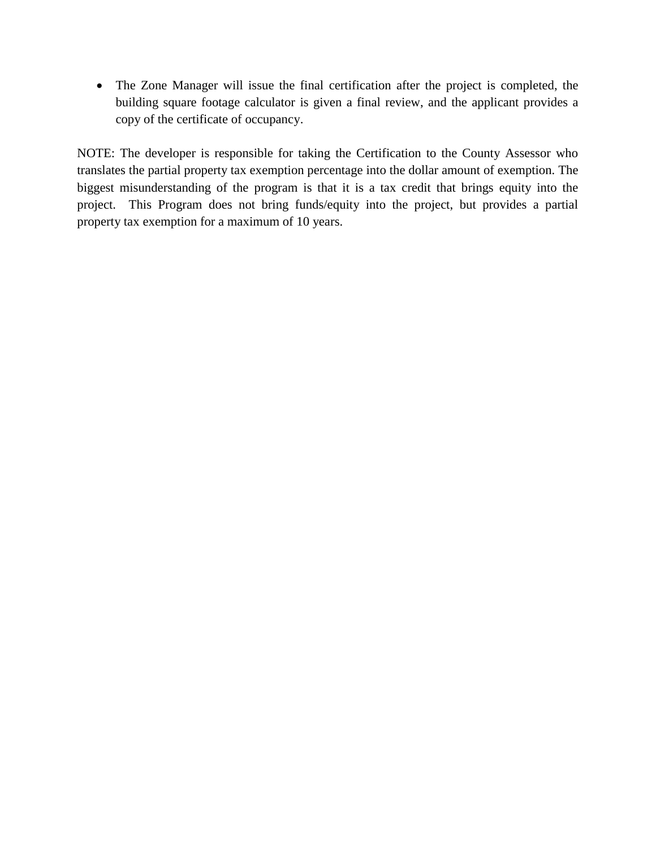The Zone Manager will issue the final certification after the project is completed, the building square footage calculator is given a final review, and the applicant provides a copy of the certificate of occupancy.

NOTE: The developer is responsible for taking the Certification to the County Assessor who translates the partial property tax exemption percentage into the dollar amount of exemption. The biggest misunderstanding of the program is that it is a tax credit that brings equity into the project. This Program does not bring funds/equity into the project, but provides a partial property tax exemption for a maximum of 10 years.